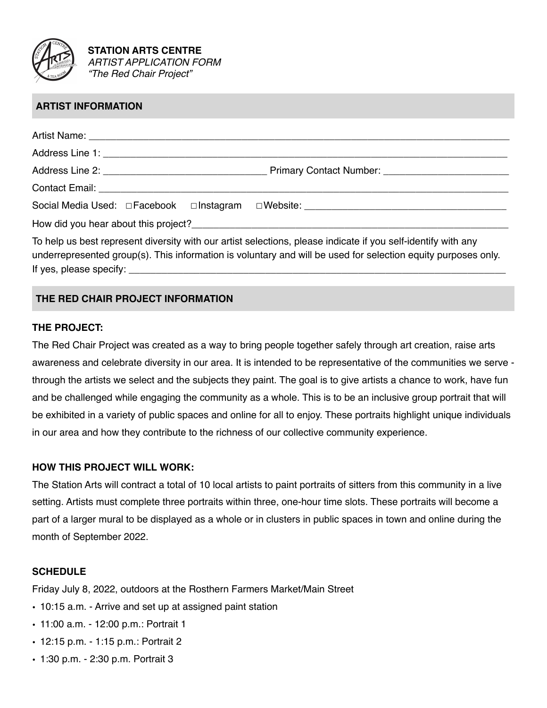

**STATION ARTS CENTRE** *ARTIST APPLICATION FORM "The Red Chair Project"*

# **ARTIST INFORMATION**

| How did you hear about this project?<br>The same state of the state of the state of the state of the state of the state of the state of the state of the state of the state of the state of the state of the state of the state |  |  |
|---------------------------------------------------------------------------------------------------------------------------------------------------------------------------------------------------------------------------------|--|--|
| To help us best represent diversity with our artist selections, please indicate if you self-identify with any                                                                                                                   |  |  |
| underrepresented group(s). This information is voluntary and will be used for selection equity purposes only.                                                                                                                   |  |  |
|                                                                                                                                                                                                                                 |  |  |

# **THE RED CHAIR PROJECT INFORMATION**

#### **THE PROJECT:**

The Red Chair Project was created as a way to bring people together safely through art creation, raise arts awareness and celebrate diversity in our area. It is intended to be representative of the communities we serve through the artists we select and the subjects they paint. The goal is to give artists a chance to work, have fun and be challenged while engaging the community as a whole. This is to be an inclusive group portrait that will be exhibited in a variety of public spaces and online for all to enjoy. These portraits highlight unique individuals in our area and how they contribute to the richness of our collective community experience.

#### **HOW THIS PROJECT WILL WORK:**

The Station Arts will contract a total of 10 local artists to paint portraits of sitters from this community in a live setting. Artists must complete three portraits within three, one-hour time slots. These portraits will become a part of a larger mural to be displayed as a whole or in clusters in public spaces in town and online during the month of September 2022.

#### **SCHEDULE**

Friday July 8, 2022, outdoors at the Rosthern Farmers Market/Main Street

- 10:15 a.m. Arrive and set up at assigned paint station
- 11:00 a.m. 12:00 p.m.: Portrait 1
- 12:15 p.m. 1:15 p.m.: Portrait 2
- 1:30 p.m. 2:30 p.m. Portrait 3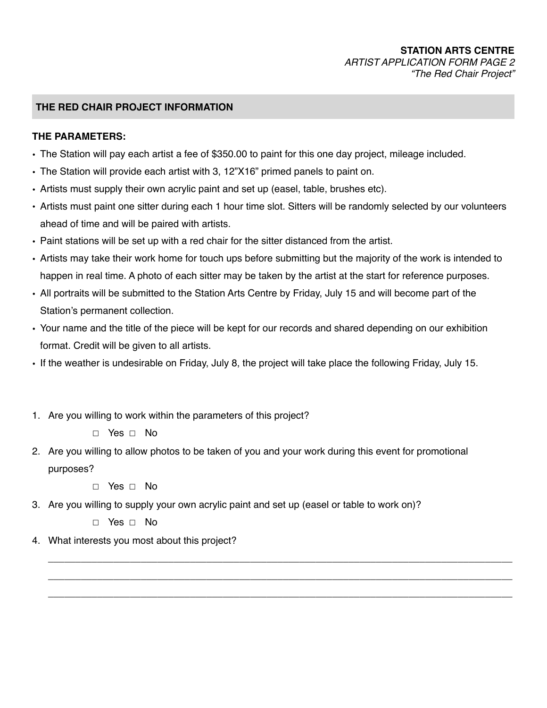## **STATION ARTS CENTRE** *ARTIST APPLICATION FORM PAGE 2 "The Red Chair Project"*

## **THE RED CHAIR PROJECT INFORMATION**

#### **THE PARAMETERS:**

- The Station will pay each artist a fee of \$350.00 to paint for this one day project, mileage included.
- The Station will provide each artist with 3, 12"X16" primed panels to paint on.
- Artists must supply their own acrylic paint and set up (easel, table, brushes etc).
- Artists must paint one sitter during each 1 hour time slot. Sitters will be randomly selected by our volunteers ahead of time and will be paired with artists.
- Paint stations will be set up with a red chair for the sitter distanced from the artist.
- Artists may take their work home for touch ups before submitting but the majority of the work is intended to happen in real time. A photo of each sitter may be taken by the artist at the start for reference purposes.
- All portraits will be submitted to the Station Arts Centre by Friday, July 15 and will become part of the Station's permanent collection.
- Your name and the title of the piece will be kept for our records and shared depending on our exhibition format. Credit will be given to all artists.
- If the weather is undesirable on Friday, July 8, the project will take place the following Friday, July 15.
- 1. Are you willing to work within the parameters of this project?
	- ☐ Yes ☐ No
- 2. Are you willing to allow photos to be taken of you and your work during this event for promotional purposes?

*\_\_\_\_\_\_\_\_\_\_\_\_\_\_\_\_\_\_\_\_\_\_\_\_\_\_\_\_\_\_\_\_\_\_\_\_\_\_\_\_\_\_\_\_\_\_\_\_\_\_\_\_\_\_\_\_\_\_\_\_\_\_\_\_\_\_\_\_\_\_\_\_\_\_\_\_\_\_\_\_\_\_\_\_\_ \_\_\_\_\_\_\_\_\_\_\_\_\_\_\_\_\_\_\_\_\_\_\_\_\_\_\_\_\_\_\_\_\_\_\_\_\_\_\_\_\_\_\_\_\_\_\_\_\_\_\_\_\_\_\_\_\_\_\_\_\_\_\_\_\_\_\_\_\_\_\_\_\_\_\_\_\_\_\_\_\_\_\_\_\_ \_\_\_\_\_\_\_\_\_\_\_\_\_\_\_\_\_\_\_\_\_\_\_\_\_\_\_\_\_\_\_\_\_\_\_\_\_\_\_\_\_\_\_\_\_\_\_\_\_\_\_\_\_\_\_\_\_\_\_\_\_\_\_\_\_\_\_\_\_\_\_\_\_\_\_\_\_\_\_\_\_\_\_\_\_*

☐ Yes ☐ No

3. Are you willing to supply your own acrylic paint and set up (easel or table to work on)?

☐ Yes ☐ No

4. What interests you most about this project?